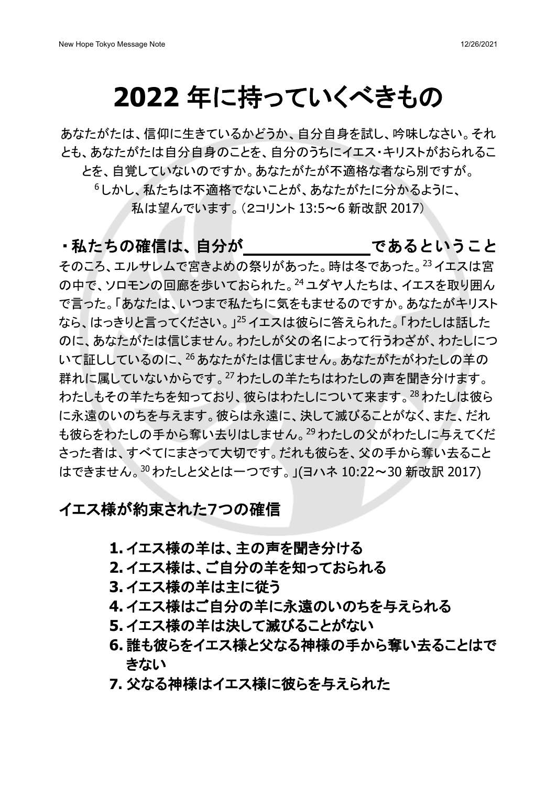## **2022** 年に持っていくべきもの

あなたがたは、信仰に生きているかどうか、自分自身を試し、吟味しなさい。それ とも、あなたがたは自分自身のことを、自分のうちにイエス・キリストがおられるこ とを、自覚していないのですか。あなたがたが不適格な者なら別ですが。

<sup>6</sup> しかし、私たちは不適格でないことが、あなたがたに分かるように、 私は望んでいます。(2コリント 13:5~6 新改訳 2017)

#### ・私たちの確信は、自分が であるということ

そのころ、エルサレムで宮きよめの祭りがあった。時は冬であった。23イエスは宮 の中で、ソロモンの回廊を歩いておられた。24ユダヤ人たちは、イエスを取り囲ん で言った。「あなたは、いつまで私たちに気をもませるのですか。あなたがキリスト なら、はっきりと言ってください。」25 イエスは彼らに答えられた。「わたしは話した のに、あなたがたは信じません。わたしが父の名によって行うわざが、わたしにつ いて証ししているのに、<sup>26</sup> あなたがたは信じません。あなたがたがわたしの羊の 群れに属していないからです。<sup>27</sup>わたしの羊たちはわたしの声を聞き分けます。 わたしもその羊たちを知っており、彼らはわたしについて来ます。<sup>28</sup>わたしは彼ら に永遠のいのちを与えます。彼らは永遠に、決して滅びることがなく、また、だれ も彼らをわたしの手から奪い去りはしません。29わたしの父がわたしに与えてくだ さった者は、すべてにまさって大切です。だれも彼らを、父の手から奪い去ること はできません。<sup>30</sup>わたしと父とは一つです。」(ヨハネ 10:22~30 新改訳 2017)

#### イエス様が約束された7つの確信

- **1.** イエス様の羊は、主の声を聞き分ける
- **2.** イエス様は、ご自分の羊を知っておられる
- **3.** イエス様の羊は主に従う
- **4.** イエス様はご自分の羊に永遠のいのちを与えられる
- **5.** イエス様の羊は決して滅びることがない
- **6.** 誰も彼らをイエス様と父なる神様の手から奪い去ることはで きない
- **7.** 父なる神様はイエス様に彼らを与えられた